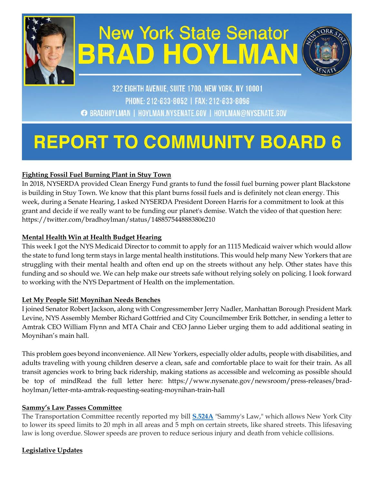

# **New York State Senator BRAD HOYLMA**



### 322 EIGHTH AVENUE, SUITE 1700, NEW YORK, NY 10001 PHONE: 212-633-8052 | FAX: 212-633-8096 **BRADHOYLMAN | HOYLMAN.NYSENATE.GOV | HOYLMAN@NYSENATE.GOV**

## **REPORT TO COMMUNITY BOARD**

#### **Fighting Fossil Fuel Burning Plant in Stuy Town**

In 2018, NYSERDA provided Clean Energy Fund grants to fund the fossil fuel burning power plant Blackstone is building in Stuy Town. We know that this plant burns fossil fuels and is definitely not clean energy. This week, during a Senate Hearing, I asked NYSERDA President Doreen Harris for a commitment to look at this grant and decide if we really want to be funding our planet's demise. Watch the video of that question here: https://twitter.com/bradhoylman/status/1488575448883806210

#### **Mental Health Win at Health Budget Hearing**

This week I got the NYS Medicaid Director to commit to apply for an 1115 Medicaid waiver which would allow the state to fund long term stays in large mental health institutions. This would help many New Yorkers that are struggling with their mental health and often end up on the streets without any help. Other states have this funding and so should we. We can help make our streets safe without relying solely on policing. I look forward to working with the NYS Department of Health on the implementation.

#### **Let My People Sit! Moynihan Needs Benches**

I joined Senator Robert Jackson, along with Congressmember Jerry Nadler, Manhattan Borough President Mark Levine, NYS Assembly Member Richard Gottfried and City Councilmember Erik Bottcher, in sending a letter to Amtrak CEO William Flynn and MTA Chair and CEO Janno Lieber urging them to add additional seating in Moynihan's main hall.

This problem goes beyond inconvenience. All New Yorkers, especially older adults, people with disabilities, and adults traveling with young children deserve a clean, safe and comfortable place to wait for their train. As all transit agencies work to bring back ridership, making stations as accessible and welcoming as possible should be top of mindRead the full letter here: https://www.nysenate.gov/newsroom/press-releases/bradhoylman/letter-mta-amtrak-requesting-seating-moynihan-train-hall

#### **Sammy's Law Passes Committee**

The Transportation Committee recently reported my bill **[S.524A](https://www.nysenate.gov/legislation/bills/2021/S524/amendment/A)** "Sammy's Law," which allows New York City to lower its speed limits to 20 mph in all areas and 5 mph on certain streets, like shared streets. This lifesaving law is long overdue. Slower speeds are proven to reduce serious injury and death from vehicle collisions.

#### **Legislative Updates**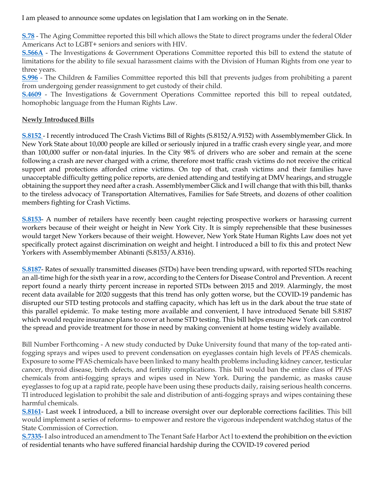I am pleased to announce some updates on legislation that I am working on in the Senate.

**[S.78](https://www.nysenate.gov/legislation/bills/2021/s78/amendment/original)** - The Aging Committee reported this bill which allows the State to direct programs under the federal Older Americans Act to LGBT+ seniors and seniors with HIV.

**[S.566A](https://www.nysenate.gov/legislation/bills/2021/s566/amendment/a)** - The Investigations & Government Operations Committee reported this bill to extend the statute of limitations for the ability to file sexual harassment claims with the Division of Human Rights from one year to three years.

**[S.996](https://www.nysenate.gov/legislation/bills/2021/s996)** - The Children & Families Committee reported this bill that prevents judges from prohibiting a parent from undergoing gender reassignment to get custody of their child.

**[S.4609](https://www.nysenate.gov/legislation/bills/2021/s4609)** - The Investigations & Government Operations Committee reported this bill to repeal outdated, homophobic language from the Human Rights Law.

#### **Newly Introduced Bills**

**[S.8152](https://www.nysenate.gov/legislation/bills/2021/s8152)** - I recently introduced The Crash Victims Bill of Rights (S.8152/A.9152) with Assemblymember Glick. In New York State about 10,000 people are killed or seriously injured in a traffic crash every single year, and more than 100,000 suffer or non-fatal injuries. In the City 98% of drivers who are sober and remain at the scene following a crash are never charged with a crime, therefore most traffic crash victims do not receive the critical support and protections afforded crime victims. On top of that, crash victims and their families have unacceptable difficulty getting police reports, are denied attending and testifying at DMV hearings, and struggle obtaining the support they need after a crash. Assemblymember Glick and I will change that with this bill, thanks to the tireless advocacy of Transportation Alternatives, Families for Safe Streets, and dozens of other coalition members fighting for Crash Victims.

**[S.8153](https://www.nysenate.gov/legislation/bills/2021/s8153)**- A number of retailers have recently been caught rejecting prospective workers or harassing current workers because of their weight or height in New York City. It is simply reprehensible that these businesses would target New Yorkers because of their weight. However, New York State Human Rights Law does not yet specifically protect against discrimination on weight and height. I introduced a bill to fix this and protect New Yorkers with Assemblymember Abinanti (S.8153/A.8316).

**[S.8187](https://www.nysenate.gov/legislation/bills/2021/s8187)**- Rates of sexually transmitted diseases (STDs) have been trending upward, with reported STDs reaching an all-time high for the sixth year in a row, according to the Centers for Disease Control and Prevention. A recent report found a nearly thirty percent increase in reported STDs between 2015 and 2019. Alarmingly, the most recent data available for 2020 suggests that this trend has only gotten worse, but the COVID-19 pandemic has disrupted our STD testing protocols and staffing capacity, which has left us in the dark about the true state of this parallel epidemic. To make testing more available and convenient, I have introduced Senate bill S.8187 which would require insurance plans to cover at home STD testing. This bill helps ensure New York can control the spread and provide treatment for those in need by making convenient at home testing widely available.

Bill Number Forthcoming - A new study conducted by Duke University found that many of the top-rated antifogging sprays and wipes used to prevent condensation on eyeglasses contain high levels of PFAS chemicals. Exposure to some PFAS chemicals have been linked to many health problems including kidney cancer, testicular cancer, thyroid disease, birth defects, and fertility complications. This bill would ban the entire class of PFAS chemicals from anti-fogging sprays and wipes used in New York. During the pandemic, as masks cause eyeglasses to fog up at a rapid rate, people have been using these products daily, raising serious health concerns. TI introduced legislation to prohibit the sale and distribution of anti-fogging sprays and wipes containing these harmful chemicals.

**[S.8161](https://www.nysenate.gov/legislation/bills/2021/s8161)**- Last week I introduced, a bill to increase oversight over our deplorable corrections facilities. This bill would implement a series of reforms- to empower and restore the vigorous independent watchdog status of the State Commission of Correction.

**[S.7335](https://www.nysenate.gov/legislation/bills/2021/s7335/amendment/original)**- I also introduced an amendment to The Tenant Safe Harbor Act l to extend the prohibition on the eviction of residential tenants who have suffered financial hardship during the COVID-19 covered period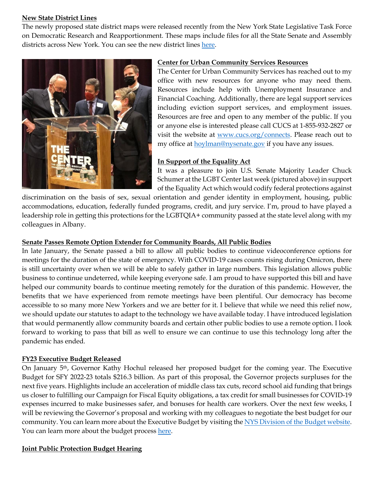#### **New State District Lines**

The newly proposed state district maps were released recently from the New York State Legislative Task Force on Democratic Research and Reapportionment. These maps include files for all the State Senate and Assembly districts across New York. You can see the new district lines [here.](https://www.latfor.state.ny.us/maps/)



#### **Center for Urban Community Services Resources**

The Center for Urban Community Services has reached out to my office with new resources for anyone who may need them. Resources include help with Unemployment Insurance and Financial Coaching. Additionally, there are legal support services including eviction support services, and employment issues. Resources are free and open to any member of the public. If you or anyone else is interested please call CUCS at 1-855-932-2827 or visit the website at [www.cucs.org/connects.](http://www.cucs.org/connects) Please reach out to my office at **hoylman@nysenate.gov** if you have any issues.

#### **In Support of the Equality Act**

It was a pleasure to join U.S. Senate Majority Leader Chuck Schumer at the LGBT Center last week (pictured above) in support of the Equality Act which would codify federal protections against

discrimination on the basis of sex, sexual orientation and gender identity in employment, housing, public accommodations, education, federally funded programs, credit, and jury service. I'm, proud to have played a leadership role in getting this protections for the LGBTQIA+ community passed at the state level along with my colleagues in Albany.

#### **Senate Passes Remote Option Extender for Community Boards, All Public Bodies**

In late January, the Senate passed a bill to allow all public bodies to continue videoconference options for meetings for the duration of the state of emergency. With COVID-19 cases counts rising during Omicron, there is still uncertainty over when we will be able to safely gather in large numbers. This legislation allows public business to continue undeterred, while keeping everyone safe. I am proud to have supported this bill and have helped our community boards to continue meeting remotely for the duration of this pandemic. However, the benefits that we have experienced from remote meetings have been plentiful. Our democracy has become accessible to so many more New Yorkers and we are better for it. I believe that while we need this relief now, we should update our statutes to adapt to the technology we have available today. I have introduced legislation that would permanently allow community boards and certain other public bodies to use a remote option. I look forward to working to pass that bill as well to ensure we can continue to use this technology long after the pandemic has ended.

#### **FY23 Executive Budget Released**

On January 5th, Governor Kathy Hochul released her proposed budget for the coming year. The Executive Budget for SFY 2022-23 totals \$216.3 billion. As part of this proposal, the Governor projects surpluses for the next five years. Highlights include an acceleration of middle class tax cuts, record school aid funding that brings us closer to fulfilling our Campaign for Fiscal Equity obligations, a tax credit for small businesses for COVID-19 expenses incurred to make businesses safer, and bonuses for health care workers. Over the next few weeks, I will be reviewing the Governor's proposal and working with my colleagues to negotiate the best budget for our community. You can learn more about the Executive Budget by visiting the NYS Division of the Budget website. You can learn more about the budget proces[s here.](https://www.budget.ny.gov/citizen/index.html)

#### **Joint Public Protection Budget Hearing**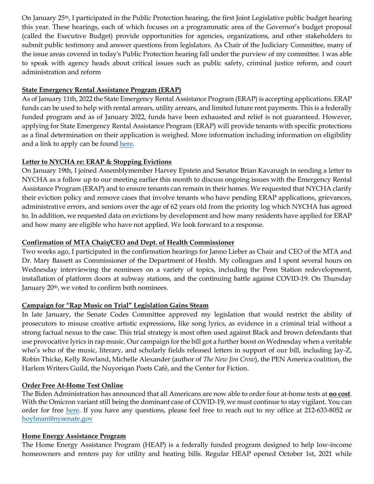On January 25th, I participated in the Public Protection hearing, the first Joint Legislative public budget hearing this year. These hearings, each of which focuses on a programmatic area of the Governor's budget proposal (called the Executive Budget) provide opportunities for agencies, organizations, and other stakeholders to submit public testimony and answer questions from legislators. As Chair of the Judiciary Committee, many of the issue areas covered in today's Public Protection hearing fall under the purview of my committee. I was able to speak with agency heads about critical issues such as public safety, criminal justice reform, and court administration and reform

#### **State Emergency Rental Assistance Program (ERAP)**

As of January 11th, 2022 the State Emergency Rental Assistance Program (ERAP) is accepting applications. ERAP funds can be used to help with rental arrears, utility arrears, and limited future rent payments. This is a federally funded program and as of January 2022, funds have been exhausted and relief is not guaranteed. However, applying for State Emergency Rental Assistance Program (ERAP) will provide tenants with specific protections as a final determination on their application is weighed. More information including information on eligibility and a link to apply can be found [here.](https://access.nyc.gov/programs/emergency-rental-assistance-program/#how-it-works)

#### **Letter to NYCHA re: ERAP & Stopping Evictions**

On January 19th, I joined Assemblymember Harvey Epstein and Senator Brian Kavanagh in sending a letter to NYCHA as a follow up to our meeting earlier this month to discuss ongoing issues with the Emergency Rental Assistance Program (ERAP) and to ensure tenants can remain in their homes. We requested that NYCHA clarify their eviction policy and remove cases that involve tenants who have pending ERAP applications, grievances, administrative errors, and seniors over the age of 62 years old from the priority log which NYCHA has agreed to. In addition, we requested data on evictions by development and how many residents have applied for ERAP and how many are eligible who have not applied. We look forward to a response.

#### **Confirmation of MTA Chair/CEO and Dept. of Health Commissioner**

Two weeks ago, I participated in the confirmation hearings for Janno Lieber as Chair and CEO of the MTA and Dr. Mary Bassett as Commissioner of the Department of Health. My colleagues and I spent several hours on Wednesday interviewing the nominees on a variety of topics, including the Penn Station redevelopment, installation of platform doors at subway stations, and the continuing battle against COVID-19. On Thursday January 20<sup>th</sup>, we voted to confirm both nominees.

#### **Campaign for "Rap Music on Trial" Legislation Gains Steam**

In late January, the Senate Codes Committee approved my legislation that would restrict the ability of prosecutors to misuse creative artistic expressions, like song lyrics, as evidence in a criminal trial without a strong factual nexus to the case. This trial strategy is most often used against Black and brown defendants that use provocative lyrics in rap music. Our campaign for the bill got a further boost on Wednesday when a veritable who's who of the music, literary, and scholarly fields released letters in support of our bill, including Jay-Z, Robin Thicke, Kelly Rowland, Michelle Alexander (author of *The New Jim Crow*), the PEN America coalition, the Harlem Writers Guild, the Nuyoriqan Poets Café, and the Center for Fiction.

#### **Order Free At-Home Test Online**

The Biden Administration has announced that all Americans are now able to order four at-home tests at **no cost**. With the Omicron variant still being the dominant case of COVID-19, we must continue to stay vigilant. You can order for free [here.](https://www.covidtests.gov/) If you have any questions, please feel free to reach out to my office at 212-633-8052 or [hoylman@nysenate.gov](mailto:hoylman@nysenate.gov)

#### **Home Energy Assistance Program**

The Home Energy Assistance Program (HEAP) is a federally funded program designed to help low-income homeowners and renters pay for utility and heating bills. Regular HEAP opened October 1st, 2021 while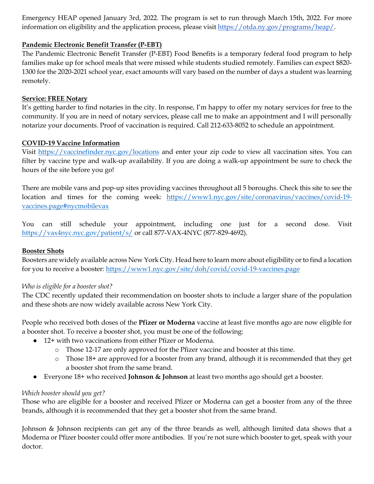Emergency HEAP opened January 3rd, 2022. The program is set to run through March 15th, 2022. For more information on eligibility and the application process, please visi[t https://otda.ny.gov/programs/heap/.](https://otda.ny.gov/programs/heap/)

#### **Pandemic Electronic Benefit Transfer (P-EBT)**

The Pandemic Electronic Benefit Transfer (P-EBT) Food Benefits is a temporary federal food program to help families make up for school meals that were missed while students studied remotely. Families can expect \$820- 1300 for the 2020-2021 school year, exact amounts will vary based on the number of days a student was learning remotely.

#### **Service: FREE Notary**

It's getting harder to find notaries in the city. In response, I'm happy to offer my notary services for free to the community. If you are in need of notary services, please call me to make an appointment and I will personally notarize your documents. Proof of vaccination is required. Call 212-633-8052 to schedule an appointment.

#### **COVID-19 Vaccine Information**

Visit [https://vaccinefinder.nyc.gov/locations](http://email.sts.nysenate.gov/ls/click?upn=okrevnDuMx7BRChkkqyi7OLHT7hRS-2BEB7HLIgUcgOhw743Fge7heu787TW73GauIVsgf_teUpoUEouv1PFf-2BShOzaa6uzqOVlJOT2C0Rj-2FiXwpA0yA80oY2sde0ABwFEEUXRjpXAVl2iBKtRSjg2YJ3RqJkVr56cWEiH70-2B1RPxk5JWvEEEMBjf1GKN4jtCi8qIB913ex7skFExztjiRaPEQRigRGlO51SzlmC2ldWB-2Fv-2FMkywApUBlPeOeCEPj2-2BzYlBRolmLpfqQTnmfjT5OmDmadD4A9DVlZPKrKM-2F6vEZSsFjd6yM0FExDmIciE3hoIzCM14DVW8q2zAeRgL66h5r-2BW-2B7n-2B0Vwr1u8604CWRcR90XJ-2FoY03Id2YZZHu8jqMFZFDw7ArZnjPEAeJyxG6NL9leh2lofwx1RobtTG7EC2XQSXpgc64SwCTWssy7swYkknExBkmyB4lskDCajbzwVCSeivjCRq7WqO9s0EjqZ5YfbTfPInNrZ4MwHApmGSoH1BtDApeBYkXFXYKjrqujjXOAb1uqnfXLxSss7GZHkwsd8O6LksCJvLCSz-2B8W72H9DmbQtPQWkaHA2cuX1bLpUS2EUDpsULD05Z7YNs5V8Fgc-3D) and enter your zip code to view all vaccination sites. You can filter by vaccine type and walk-up availability. If you are doing a walk-up appointment be sure to check the hours of the site before you go!

There are mobile vans and pop-up sites providing vaccines throughout all 5 boroughs. Check this site to see the location and times for the coming week: [https://www1.nyc.gov/site/coronavirus/vaccines/covid-19](http://email.sts.nysenate.gov/ls/click?upn=-2FUeB4rNcocRHNJExEbkInhmgg2hkCiG8LCEu-2F6nqR0VJkBrd24q2GWDf9IOX9njUaSULQngbQ13oV3iJx3tzfR2py6bUzC4IJw64Jv556h074CJej6BmlknzKx-2FgLU6Q89w7_teUpoUEouv1PFf-2BShOzaa6uzqOVlJOT2C0Rj-2FiXwpA0yA80oY2sde0ABwFEEUXRjpXAVl2iBKtRSjg2YJ3RqJkVr56cWEiH70-2B1RPxk5JWvEEEMBjf1GKN4jtCi8qIB913ex7skFExztjiRaPEQRigRGlO51SzlmC2ldWB-2Fv-2FMkywApUBlPeOeCEPj2-2BzYlBRolmLpfqQTnmfjT5OmDmadD4A9DVlZPKrKM-2F6vEZSsFjd6yM0FExDmIciE3hoIzCM14DVW8q2zAeRgL66h5r-2BW-2B7n-2B0Vwr1u8604CWRcR91cddf5SUUBLPD-2BSQhgkILp8lYHbptQxDsKJ8WDq0VMlWyBdayEmSbrfsun0hjMQSvvoy0uQaedmGSgEG-2Fg25KU-2BIJ05DbuCpuIWHHcNPfj8LNlDRltuhesH9trmetj08AF8HpiXfdhX6XBueWK12g2PCBNaNqHL0fM97ukS6KNSQ0DU2IyS6e4rXCYsXWk7b-2BOJa4CLBqzB4G8NPR0CjPBx4wf5wT81WrhvCgSkpnJNk1-2B6fWCzxaVIR0rU5OrT5U-3D) [vaccines.page#nycmobilevax](http://email.sts.nysenate.gov/ls/click?upn=-2FUeB4rNcocRHNJExEbkInhmgg2hkCiG8LCEu-2F6nqR0VJkBrd24q2GWDf9IOX9njUaSULQngbQ13oV3iJx3tzfR2py6bUzC4IJw64Jv556h074CJej6BmlknzKx-2FgLU6Q89w7_teUpoUEouv1PFf-2BShOzaa6uzqOVlJOT2C0Rj-2FiXwpA0yA80oY2sde0ABwFEEUXRjpXAVl2iBKtRSjg2YJ3RqJkVr56cWEiH70-2B1RPxk5JWvEEEMBjf1GKN4jtCi8qIB913ex7skFExztjiRaPEQRigRGlO51SzlmC2ldWB-2Fv-2FMkywApUBlPeOeCEPj2-2BzYlBRolmLpfqQTnmfjT5OmDmadD4A9DVlZPKrKM-2F6vEZSsFjd6yM0FExDmIciE3hoIzCM14DVW8q2zAeRgL66h5r-2BW-2B7n-2B0Vwr1u8604CWRcR91cddf5SUUBLPD-2BSQhgkILp8lYHbptQxDsKJ8WDq0VMlWyBdayEmSbrfsun0hjMQSvvoy0uQaedmGSgEG-2Fg25KU-2BIJ05DbuCpuIWHHcNPfj8LNlDRltuhesH9trmetj08AF8HpiXfdhX6XBueWK12g2PCBNaNqHL0fM97ukS6KNSQ0DU2IyS6e4rXCYsXWk7b-2BOJa4CLBqzB4G8NPR0CjPBx4wf5wT81WrhvCgSkpnJNk1-2B6fWCzxaVIR0rU5OrT5U-3D) 

You can still schedule your appointment, including one just for a second dose. Visit [https://vax4nyc.nyc.gov/patient/s/](http://email.sts.nysenate.gov/ls/click?upn=okrevnDuMx7BRChkkqyi7B1xFhkvs8g35I3JvFhNen8sHCi-2Fr2lrpJuFM1AFl2xj3GPc_teUpoUEouv1PFf-2BShOzaa6uzqOVlJOT2C0Rj-2FiXwpA0yA80oY2sde0ABwFEEUXRjpXAVl2iBKtRSjg2YJ3RqJkVr56cWEiH70-2B1RPxk5JWvEEEMBjf1GKN4jtCi8qIB913ex7skFExztjiRaPEQRigRGlO51SzlmC2ldWB-2Fv-2FMkywApUBlPeOeCEPj2-2BzYlBRolmLpfqQTnmfjT5OmDmadD4A9DVlZPKrKM-2F6vEZSsFjd6yM0FExDmIciE3hoIzCM14DVW8q2zAeRgL66h5r-2BW-2B7n-2B0Vwr1u8604CWRcR92ilMHEev0fWeZTM4-2Bzx8TgBJqV8chG1wJBHBXjGMn0iAfN3BxKuTTJbnUMKsS6X5XOf27ZJzjtMsNPcA9xBfQFLPoUdSRZP84QWWaKa2V09wfIPfml3Xp-2F2opOG3ZyQP5hIdXUE7uWT8LbL5Y1K8pD8DDPqQD-2FUiTiNB5A17uiZ-2BxggOKpmlubLH5DIT6dnv2ixJvPKR6Rm9h2dWxFdIr7r8KrKDoCAPZxNgjlMvgZa3HzAsDEY5pDiemlPpkkstI-3D) or call 877-VAX-4NYC (877-829-4692).

#### **Booster Shots**

Boosters are widely available across New York City. Head here to learn more about eligibility or to find a location for you to receive a booster:<https://www1.nyc.gov/site/doh/covid/covid-19-vaccines.page>

#### *Who is eligible for a booster shot?*

The CDC recently updated their recommendation on booster shots to include a larger share of the population and these shots are now widely available across New York City.

People who received both doses of the **Pfizer or Moderna** vaccine at least five months ago are now eligible for a booster shot. To receive a booster shot, you must be one of the following:

- 12+ with two vaccinations from either Pfizer or Moderna.
	- o Those 12-17 are only approved for the Pfizer vaccine and booster at this time.
	- o Those 18+ are approved for a booster from any brand, although it is recommended that they get a booster shot from the same brand.
- Everyone 18+ who received **Johnson & Johnson** at least two months ago should get a booster.

#### *Which booster should you get?*

Those who are eligible for a booster and received Pfizer or Moderna can get a booster from any of the three brands, although it is recommended that they get a booster shot from the same brand.

Johnson & Johnson recipients can get any of the three brands as well, although limited data shows that a Moderna or Pfizer booster could offer more antibodies. If you're not sure which booster to get, speak with your doctor.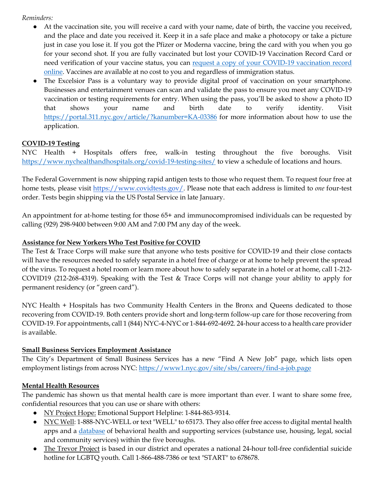#### *Reminders:*

- At the vaccination site, you will receive a card with your name, date of birth, the vaccine you received, and the place and date you received it. Keep it in a safe place and make a photocopy or take a picture just in case you lose it. If you got the Pfizer or Moderna vaccine, bring the card with you when you go for your second shot. If you are fully vaccinated but lost your COVID-19 Vaccination Record Card or need verification of your vaccine status, you can request a copy of your COVID-19 vaccination record [online.](http://email.sts.nysenate.gov/ls/click?upn=-2FUeB4rNcocRHNJExEbkInhmgg2hkCiG8LCEu-2F6nqR0Wkkh28nF0sPBQISrlIQ0dYqaUaARWS3ZXOpNVA8r5U0b3pmNPt50GjV4cWBOV-2Fa-2F4-3DIb31_teUpoUEouv1PFf-2BShOzaa6uzqOVlJOT2C0Rj-2FiXwpA0yA80oY2sde0ABwFEEUXRjpXAVl2iBKtRSjg2YJ3RqJkVr56cWEiH70-2B1RPxk5JWvEEEMBjf1GKN4jtCi8qIB913ex7skFExztjiRaPEQRigRGlO51SzlmC2ldWB-2Fv-2FMkywApUBlPeOeCEPj2-2BzYlBRolmLpfqQTnmfjT5OmDmadD4A9DVlZPKrKM-2F6vEZSsFjd6yM0FExDmIciE3hoIzCM14DVW8q2zAeRgL66h5r-2BW-2B7n-2B0Vwr1u8604CWRcR90IApi1pdciz4NiGcILAKrnD1EbQTG12PcGXBBM3HYVOyr4S3LwPgrrTcUybJ7Yu8NnBOCDNlMaRc4gt485uN-2F7SK2kxaWcXxNMKv4JzNTxiJsIAE2Oyy6-2FygMze0vuAKh-2B79gJ8pGheHpsS-2BBzPl3e95eBYXNpBpqVkVkv3Fn9paxf1mAEeqYhxfkIjkq9uy6q8Y9ntv0PyTOCpe9sX-2F6CkmFVwkKjQiRUpVhzQMFuxgUIX8caACHEL7mnBjoXtIk-3D) Vaccines are available at no cost to you and regardless of immigration status.
- The Excelsior Pass is a voluntary way to provide digital proof of vaccination on your smartphone. Businesses and entertainment venues can scan and validate the pass to ensure you meet any COVID-19 vaccination or testing requirements for entry. When using the pass, you'll be asked to show a photo ID that shows your name and birth date to verify identity. Visit [https://portal.311.nyc.gov/article/?kanumber=KA-03386](http://email.sts.nysenate.gov/ls/click?upn=RZTTqG0zCLl0CdicihKzYyVqmYQAeQYqvPn0uiYAdCe288fU8evaQaUFw8jioCLhMCP273X-2FSkdNiGQYcGKMKg-3D-3DSU56_teUpoUEouv1PFf-2BShOzaa6uzqOVlJOT2C0Rj-2FiXwpA0yA80oY2sde0ABwFEEUXRjpXAVl2iBKtRSjg2YJ3RqJkVr56cWEiH70-2B1RPxk5JWvEEEMBjf1GKN4jtCi8qIB913ex7skFExztjiRaPEQRigRGlO51SzlmC2ldWB-2Fv-2FMkywApUBlPeOeCEPj2-2BzYlBRolmLpfqQTnmfjT5OmDmadD4A9DVlZPKrKM-2F6vEZSsFjd6yM0FExDmIciE3hoIzCM14DVW8q2zAeRgL66h5r-2BW-2B7n-2B0Vwr1u8604CWRcR90RCW0bBet75CVp2BaCbPqWFLCwZ4I43H-2BKW3Mg9hQHOGfCEz-2BHiIUabLZoHF0gjSgKQqYA2w3mCQAtNnxhw2FRhKsp4xCrMK0UbIGTvnzmBqkJ4L6awPyPQWcMCmjw7XSQXu2EGOQXbOY-2F9fRDTjkd5AawqchY1bdh0LLpw3yjEVqhpohlpx-2BDIULR8NZpgpYLb0XJERCvXm3lq7aaZIOHQf9eWmZMt2JItueQTb05cPNy5VIAr7PF1xxsIwwoVtA-3D) for more information about how to use the application.

#### **COVID-19 Testing**

NYC Health + Hospitals offers free, walk-in testing throughout the five boroughs. Visit [https://www.nychealthandhospitals.org/covid-19-testing-sites/](http://email.sts.nysenate.gov/ls/click?upn=-2FUeB4rNcocRHNJExEbkInnfGx85XJ6EJuzL0dHOrMZpQ7jVoledRxDLGxl1YYShfaYfJ2cNtQ1QUgkMm8C6LnRKJZhPl-2FDuCwDnxcvVUjgA-3DCS-E_teUpoUEouv1PFf-2BShOzaa6uzqOVlJOT2C0Rj-2FiXwpA0yA80oY2sde0ABwFEEUXRjpXAVl2iBKtRSjg2YJ3RqJkVr56cWEiH70-2B1RPxk5JWvEEEMBjf1GKN4jtCi8qIB913ex7skFExztjiRaPEQRigRGlO51SzlmC2ldWB-2Fv-2FMkywApUBlPeOeCEPj2-2BzYlBRolmLpfqQTnmfjT5OmDmadD4A9DVlZPKrKM-2F6vEZSsFjd6yM0FExDmIciE3hoIzCM14DVW8q2zAeRgL66h5r-2BW-2B7n-2B0Vwr1u8604CWRcR92H7MSv1xiJB0iZnY2h394uTw68awkOSE6rrddFbKnWOLBPKehDC8VnYBgsCFrapY5fTrxzbaCVq6IECVCAvLOHTqvbGObDoQykqzJm7YDjuOF9sV-2F9mqyXD4Zjz5E4m7nUOYUWfeHKp-2B4JNX18JoAuII8sQ8TYUPkH8-2FyMk4LiilSGs6j4gI5NGt1GLaYvCgSdCLb-2BgXt77Mr-2BxgybzhvWkfUkHxUTZSeE1sSKst1P1d6yclOWgLcXTc5PNJz3Qks-3D) to view a schedule of locations and hours.

The Federal Government is now shipping rapid antigen tests to those who request them. To request four free at home tests, please visit [https://www.covidtests.gov/.](https://www.covidtests.gov/) Please note that each address is limited to *one* four-test order. Tests begin shipping via the US Postal Service in late January.

An appointment for at-home testing for those 65+ and immunocompromised individuals can be requested by calling (929) 298-9400 between 9:00 AM and 7:00 PM any day of the week.

#### **Assistance for New Yorkers Who Test Positive for COVID**

The Test & Trace Corps will make sure that anyone who tests positive for COVID-19 and their close contacts will have the resources needed to safely separate in a hotel free of charge or at home to help prevent the spread of the virus. To request a hotel room or learn more about how to safely separate in a hotel or at home, call 1-212- COVID19 (212-268-4319). Speaking with the Test & Trace Corps will not change your ability to apply for permanent residency (or "green card").

NYC Health + Hospitals has two Community Health Centers in the Bronx and Queens dedicated to those recovering from COVID-19. Both centers provide short and long-term follow-up care for those recovering from COVID-19. For appointments, call 1 (844) NYC-4-NYC or 1-844-692-4692. 24-hour access to a health care provider is available.

#### **Small Business Services Employment Assistance**

The City's Department of Small Business Services has a new "Find A New Job" page, which lists open employment listings from across NYC:<https://www1.nyc.gov/site/sbs/careers/find-a-job.page>

#### **Mental Health Resources**

The pandemic has shown us that mental health care is more important than ever. I want to share some free, confidential resources that you can use or share with others:

- NY Project Hope: Emotional Support Helpline: 1-844-863-9314.
- NYC Well: 1-888-NYC-WELL or text "WELL" to 65173. They also offer free access to digital mental health apps and a [database](https://nycwell.cityofnewyork.us/en/find-services/) of behavioral health and supporting services (substance use, housing, legal, social and community services) within the five boroughs.
- The Trevor Project is based in our district and operates a national 24-hour toll-free confidential suicide hotline for LGBTQ youth. Call 1-866-488-7386 or text "START" to 678678.